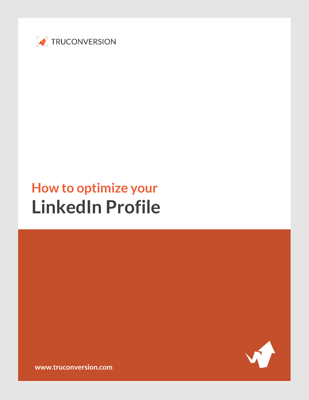

# **How to optimize your LinkedIn Profile**



**[www.truconversion.com](http://www.truconversion.com/)**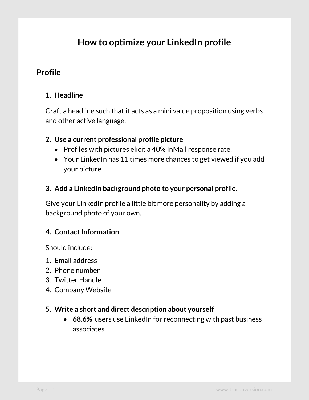# **How to optimize your LinkedIn profile**

# **Profile**

# **1. Headline**

Craft a headline such that it acts as a mini value proposition using verbs and other active language.

#### **2. Use a current professional profile picture**

- Profiles with pictures elicit a 40% InMail response rate.
- Your LinkedIn has 11 times more chances to get viewed if you add your picture.
- **3. Add a LinkedIn background photo to your personal profile.**

Give your LinkedIn profile a little bit more personality by adding a background photo of your own.

## **4. Contact Information**

Should include:

- 1. Email address
- 2. Phone number
- 3. Twitter Handle
- 4. Company Website

#### **5. Write a short and direct description about yourself**

 **68.6%** users use LinkedIn for reconnecting with past business associates.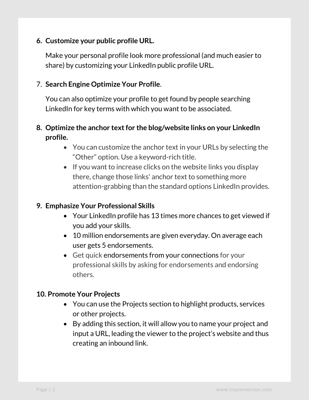#### **6. Customize your public profile URL.**

Make your personal profile look more professional (and much easier to share) by customizing your LinkedIn public profile URL.

#### 7. **Search Engine Optimize Your Profile**.

You can also optimize your profile to get found by people searching LinkedIn for key terms with which you want to be associated.

## **8. Optimize the anchor text for the blog/website links on your LinkedIn profile.**

- You can customize the anchor text in your URLs by selecting the "Other" option. Use a keyword-rich title.
- $\bullet$  If you want to increase clicks on the website links you display there, change those links' anchor text to something more attention-grabbing than the standard options LinkedIn provides.

#### **9. Emphasize Your Professional Skills**

- Your LinkedIn profile has 13 times more chances to get viewed if you add your skills.
- 10 million endorsements are given everyday. On average each user gets 5 endorsements.
- Get quick endorsements from your connections for your professional skills by asking for endorsements and endorsing others.

#### **10. Promote Your Projects**

- You can use the Projects section to highlight products, services or other projects.
- By adding this section, it will allow you to name your project and input a URL, leading the viewer to the project's website and thus creating an inbound link.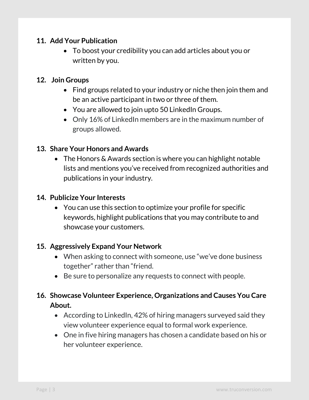#### **11. Add Your Publication**

 To boost your credibility you can add articles about you or written by you.

#### **12. Join Groups**

- Find groups related to your industry or niche then join them and be an active participant in two or three of them.
- You are allowed to join upto 50 LinkedIn Groups.
- Only 16% of LinkedIn members are in the maximum number of groups allowed.

#### **13. Share Your Honors and Awards**

• The Honors & Awards section is where you can highlight notable lists and mentions you've received from recognized authorities and publications in your industry.

#### **14. Publicize Your Interests**

 You can use this section to optimize your profile for specific keywords, highlight publications that you may contribute to and showcase your customers.

#### **15. Aggressively Expand Your Network**

- When asking to connect with someone, use "we've done business together" rather than "friend.
- Be sure to personalize any requests to connect with people.

# **16. Showcase Volunteer Experience, Organizations and Causes You Care About.**

- According to LinkedIn, 42% of hiring managers surveyed said they view volunteer experience equal to formal work experience.
- One in five hiring managers has chosen a candidate based on his or her volunteer experience.